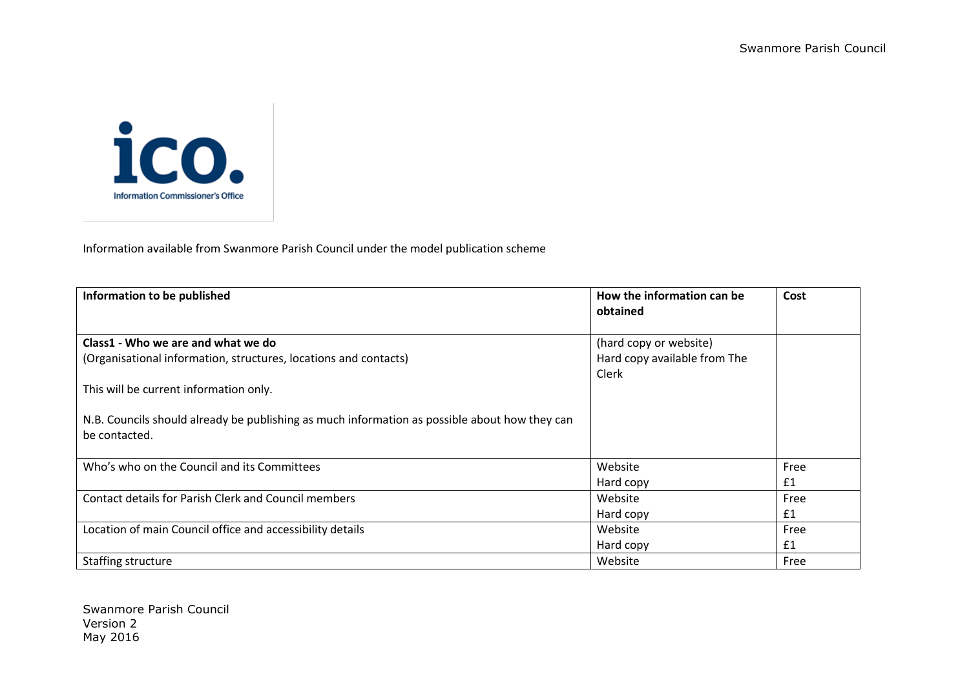

Information available from Swanmore Parish Council under the model publication scheme

| Information to be published                                                                                    | How the information can be<br>obtained                          | Cost |
|----------------------------------------------------------------------------------------------------------------|-----------------------------------------------------------------|------|
| Class1 - Who we are and what we do<br>(Organisational information, structures, locations and contacts)         | (hard copy or website)<br>Hard copy available from The<br>Clerk |      |
| This will be current information only.                                                                         |                                                                 |      |
| N.B. Councils should already be publishing as much information as possible about how they can<br>be contacted. |                                                                 |      |
| Who's who on the Council and its Committees                                                                    | Website                                                         | Free |
|                                                                                                                | Hard copy                                                       | £1   |
| <b>Contact details for Parish Clerk and Council members</b>                                                    | Website                                                         | Free |
|                                                                                                                | Hard copy                                                       | £1   |
| Location of main Council office and accessibility details                                                      | Website                                                         | Free |
|                                                                                                                | Hard copy                                                       | £1   |
| Staffing structure                                                                                             | Website                                                         | Free |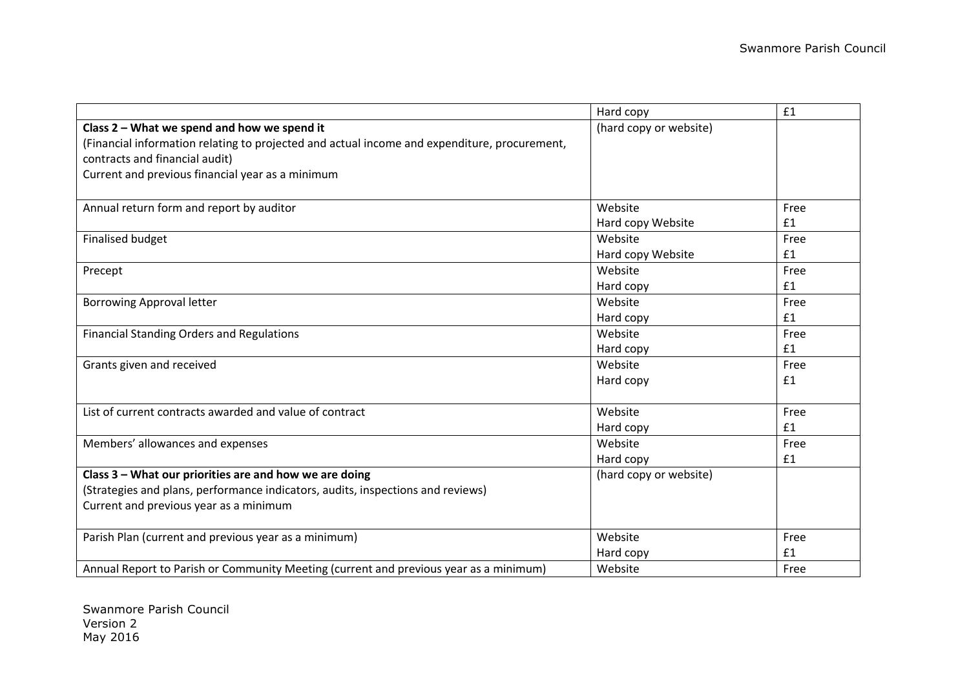|                                                                                              | Hard copy              | £1   |
|----------------------------------------------------------------------------------------------|------------------------|------|
| Class 2 - What we spend and how we spend it                                                  | (hard copy or website) |      |
| (Financial information relating to projected and actual income and expenditure, procurement, |                        |      |
| contracts and financial audit)                                                               |                        |      |
| Current and previous financial year as a minimum                                             |                        |      |
|                                                                                              |                        |      |
| Annual return form and report by auditor                                                     | Website                | Free |
|                                                                                              | Hard copy Website      | £1   |
| <b>Finalised budget</b>                                                                      | Website                | Free |
|                                                                                              | Hard copy Website      | £1   |
| Precept                                                                                      | Website                | Free |
|                                                                                              | Hard copy              | £1   |
| <b>Borrowing Approval letter</b>                                                             | Website                | Free |
|                                                                                              | Hard copy              | £1   |
| <b>Financial Standing Orders and Regulations</b>                                             | Website                | Free |
|                                                                                              | Hard copy              | £1   |
| Grants given and received                                                                    | Website                | Free |
|                                                                                              | Hard copy              | £1   |
|                                                                                              |                        |      |
| List of current contracts awarded and value of contract                                      | Website                | Free |
|                                                                                              | Hard copy              | £1   |
| Members' allowances and expenses                                                             | Website                | Free |
|                                                                                              | Hard copy              | £1   |
| Class 3 - What our priorities are and how we are doing                                       | (hard copy or website) |      |
| (Strategies and plans, performance indicators, audits, inspections and reviews)              |                        |      |
| Current and previous year as a minimum                                                       |                        |      |
|                                                                                              |                        |      |
| Parish Plan (current and previous year as a minimum)                                         | Website                | Free |
|                                                                                              | Hard copy              | £1   |
| Annual Report to Parish or Community Meeting (current and previous year as a minimum)        | Website                | Free |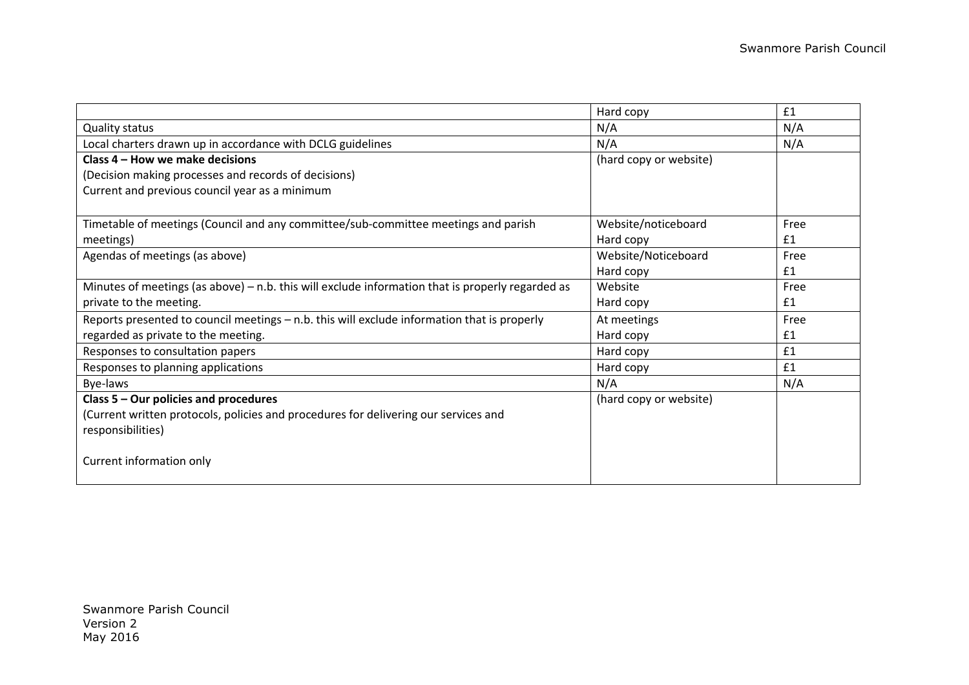|                                                                                                    | Hard copy              | £1   |
|----------------------------------------------------------------------------------------------------|------------------------|------|
| <b>Quality status</b>                                                                              | N/A                    | N/A  |
| Local charters drawn up in accordance with DCLG guidelines                                         | N/A                    | N/A  |
| Class 4 – How we make decisions                                                                    | (hard copy or website) |      |
| (Decision making processes and records of decisions)                                               |                        |      |
| Current and previous council year as a minimum                                                     |                        |      |
|                                                                                                    |                        |      |
| Timetable of meetings (Council and any committee/sub-committee meetings and parish                 | Website/noticeboard    | Free |
| meetings)                                                                                          | Hard copy              | £1   |
| Agendas of meetings (as above)                                                                     | Website/Noticeboard    | Free |
|                                                                                                    | Hard copy              | £1   |
| Minutes of meetings (as above) $-$ n.b. this will exclude information that is properly regarded as | Website                | Free |
| private to the meeting.                                                                            | Hard copy              | £1   |
| Reports presented to council meetings - n.b. this will exclude information that is properly        | At meetings            | Free |
| regarded as private to the meeting.                                                                | Hard copy              | £1   |
| Responses to consultation papers                                                                   | Hard copy              | £1   |
| Responses to planning applications                                                                 | Hard copy              | £1   |
| Bye-laws                                                                                           | N/A                    | N/A  |
| Class 5 - Our policies and procedures                                                              | (hard copy or website) |      |
| (Current written protocols, policies and procedures for delivering our services and                |                        |      |
| responsibilities)                                                                                  |                        |      |
| Current information only                                                                           |                        |      |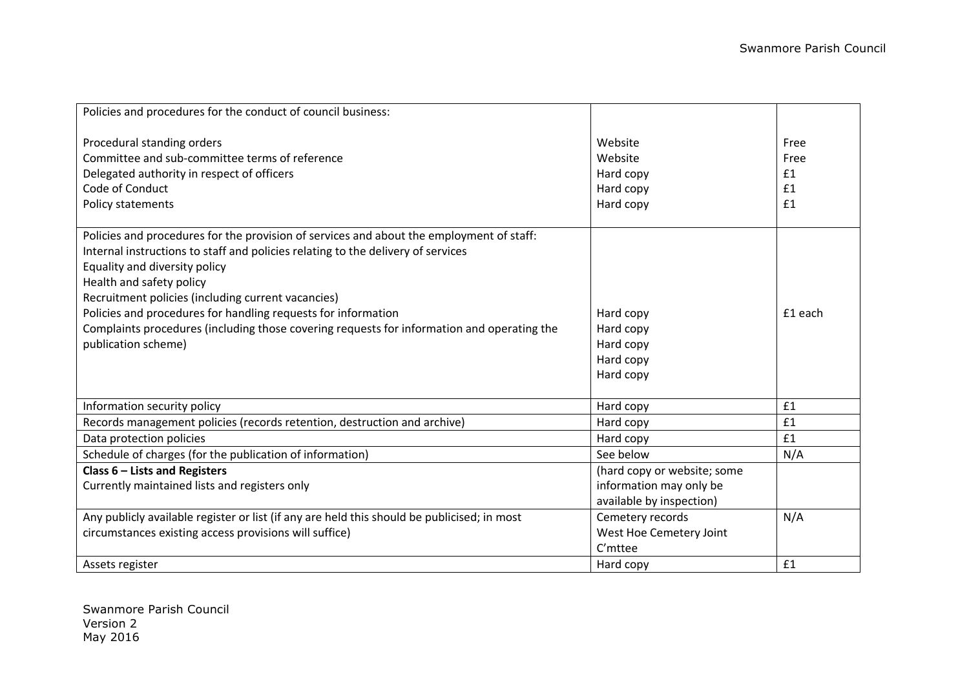| Policies and procedures for the conduct of council business:                                                                                                                                                                                                                                                                                                                                                                                                                          |                                                                                    |                                |
|---------------------------------------------------------------------------------------------------------------------------------------------------------------------------------------------------------------------------------------------------------------------------------------------------------------------------------------------------------------------------------------------------------------------------------------------------------------------------------------|------------------------------------------------------------------------------------|--------------------------------|
| Procedural standing orders<br>Committee and sub-committee terms of reference<br>Delegated authority in respect of officers<br>Code of Conduct<br>Policy statements                                                                                                                                                                                                                                                                                                                    | Website<br>Website<br>Hard copy<br>Hard copy<br>Hard copy                          | Free<br>Free<br>£1<br>£1<br>£1 |
| Policies and procedures for the provision of services and about the employment of staff:<br>Internal instructions to staff and policies relating to the delivery of services<br>Equality and diversity policy<br>Health and safety policy<br>Recruitment policies (including current vacancies)<br>Policies and procedures for handling requests for information<br>Complaints procedures (including those covering requests for information and operating the<br>publication scheme) | Hard copy<br>Hard copy<br>Hard copy<br>Hard copy<br>Hard copy                      | £1 each                        |
| Information security policy                                                                                                                                                                                                                                                                                                                                                                                                                                                           | Hard copy                                                                          | £1                             |
| Records management policies (records retention, destruction and archive)                                                                                                                                                                                                                                                                                                                                                                                                              | Hard copy                                                                          | £1                             |
| Data protection policies                                                                                                                                                                                                                                                                                                                                                                                                                                                              | Hard copy                                                                          | £1                             |
| Schedule of charges (for the publication of information)                                                                                                                                                                                                                                                                                                                                                                                                                              | See below                                                                          | N/A                            |
| Class $6$ – Lists and Registers<br>Currently maintained lists and registers only                                                                                                                                                                                                                                                                                                                                                                                                      | (hard copy or website; some<br>information may only be<br>available by inspection) |                                |
| Any publicly available register or list (if any are held this should be publicised; in most<br>circumstances existing access provisions will suffice)                                                                                                                                                                                                                                                                                                                                 | Cemetery records<br>West Hoe Cemetery Joint<br>C'mttee                             | N/A                            |
| Assets register                                                                                                                                                                                                                                                                                                                                                                                                                                                                       | Hard copy                                                                          | £1                             |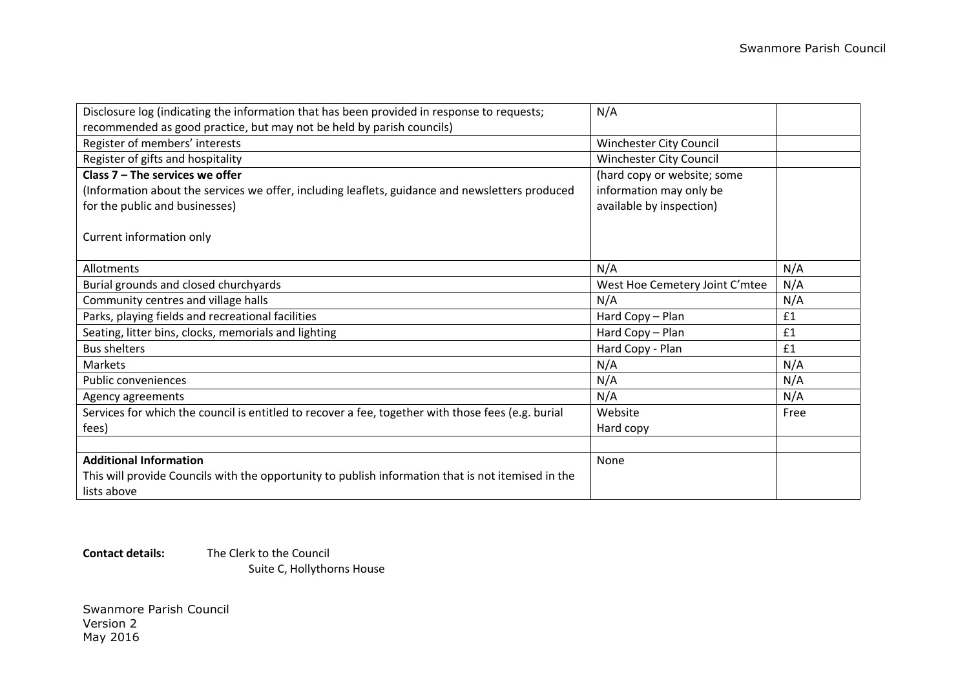| Disclosure log (indicating the information that has been provided in response to requests;         | N/A                            |      |
|----------------------------------------------------------------------------------------------------|--------------------------------|------|
| recommended as good practice, but may not be held by parish councils)                              |                                |      |
| Register of members' interests                                                                     | Winchester City Council        |      |
| Register of gifts and hospitality                                                                  | Winchester City Council        |      |
| Class $7$ – The services we offer                                                                  | (hard copy or website; some    |      |
| (Information about the services we offer, including leaflets, guidance and newsletters produced    | information may only be        |      |
| for the public and businesses)                                                                     | available by inspection)       |      |
|                                                                                                    |                                |      |
| Current information only                                                                           |                                |      |
|                                                                                                    |                                |      |
| Allotments                                                                                         | N/A                            | N/A  |
| Burial grounds and closed churchyards                                                              | West Hoe Cemetery Joint C'mtee | N/A  |
| Community centres and village halls                                                                | N/A                            | N/A  |
| Parks, playing fields and recreational facilities                                                  | Hard Copy - Plan               | £1   |
| Seating, litter bins, clocks, memorials and lighting                                               | Hard Copy - Plan               | £1   |
| <b>Bus shelters</b>                                                                                | Hard Copy - Plan               | £1   |
| Markets                                                                                            | N/A                            | N/A  |
| <b>Public conveniences</b>                                                                         | N/A                            | N/A  |
| Agency agreements                                                                                  | N/A                            | N/A  |
| Services for which the council is entitled to recover a fee, together with those fees (e.g. burial | Website                        | Free |
| fees)                                                                                              | Hard copy                      |      |
|                                                                                                    |                                |      |
| <b>Additional Information</b>                                                                      | None                           |      |
| This will provide Councils with the opportunity to publish information that is not itemised in the |                                |      |
| lists above                                                                                        |                                |      |

**Contact details:** The Clerk to the Council Suite C, Hollythorns House